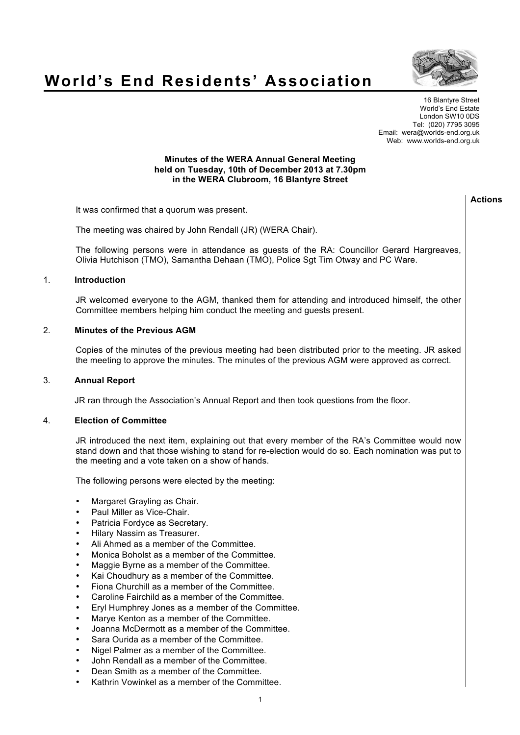## **World's End Residents' Association**



16 Blantyre Street World's End Estate London SW10 0DS Tel: (020) 7795 3095 Email: wera@worlds-end.org.uk Web: www.worlds-end.org.uk

## **Minutes of the WERA Annual General Meeting held on Tuesday, 10th of December 2013 at 7.30pm in the WERA Clubroom, 16 Blantyre Street**

|    |                                                                                                                                                                                                                                                                                                                                                                                                                                                                                                                                                                                                                                                                                                                                                                                                                                                                                                                                                                                                                                                                                                                                                                                                                                                 | <b>Actions</b> |
|----|-------------------------------------------------------------------------------------------------------------------------------------------------------------------------------------------------------------------------------------------------------------------------------------------------------------------------------------------------------------------------------------------------------------------------------------------------------------------------------------------------------------------------------------------------------------------------------------------------------------------------------------------------------------------------------------------------------------------------------------------------------------------------------------------------------------------------------------------------------------------------------------------------------------------------------------------------------------------------------------------------------------------------------------------------------------------------------------------------------------------------------------------------------------------------------------------------------------------------------------------------|----------------|
|    | It was confirmed that a quorum was present.                                                                                                                                                                                                                                                                                                                                                                                                                                                                                                                                                                                                                                                                                                                                                                                                                                                                                                                                                                                                                                                                                                                                                                                                     |                |
|    | The meeting was chaired by John Rendall (JR) (WERA Chair).                                                                                                                                                                                                                                                                                                                                                                                                                                                                                                                                                                                                                                                                                                                                                                                                                                                                                                                                                                                                                                                                                                                                                                                      |                |
|    | The following persons were in attendance as guests of the RA: Councillor Gerard Hargreaves,<br>Olivia Hutchison (TMO), Samantha Dehaan (TMO), Police Sgt Tim Otway and PC Ware.                                                                                                                                                                                                                                                                                                                                                                                                                                                                                                                                                                                                                                                                                                                                                                                                                                                                                                                                                                                                                                                                 |                |
| 1. | Introduction                                                                                                                                                                                                                                                                                                                                                                                                                                                                                                                                                                                                                                                                                                                                                                                                                                                                                                                                                                                                                                                                                                                                                                                                                                    |                |
|    | JR welcomed everyone to the AGM, thanked them for attending and introduced himself, the other<br>Committee members helping him conduct the meeting and guests present.                                                                                                                                                                                                                                                                                                                                                                                                                                                                                                                                                                                                                                                                                                                                                                                                                                                                                                                                                                                                                                                                          |                |
| 2. | <b>Minutes of the Previous AGM</b>                                                                                                                                                                                                                                                                                                                                                                                                                                                                                                                                                                                                                                                                                                                                                                                                                                                                                                                                                                                                                                                                                                                                                                                                              |                |
|    | Copies of the minutes of the previous meeting had been distributed prior to the meeting. JR asked<br>the meeting to approve the minutes. The minutes of the previous AGM were approved as correct.                                                                                                                                                                                                                                                                                                                                                                                                                                                                                                                                                                                                                                                                                                                                                                                                                                                                                                                                                                                                                                              |                |
| 3. | <b>Annual Report</b>                                                                                                                                                                                                                                                                                                                                                                                                                                                                                                                                                                                                                                                                                                                                                                                                                                                                                                                                                                                                                                                                                                                                                                                                                            |                |
|    | JR ran through the Association's Annual Report and then took questions from the floor.                                                                                                                                                                                                                                                                                                                                                                                                                                                                                                                                                                                                                                                                                                                                                                                                                                                                                                                                                                                                                                                                                                                                                          |                |
| 4. | <b>Election of Committee</b>                                                                                                                                                                                                                                                                                                                                                                                                                                                                                                                                                                                                                                                                                                                                                                                                                                                                                                                                                                                                                                                                                                                                                                                                                    |                |
|    | JR introduced the next item, explaining out that every member of the RA's Committee would now<br>stand down and that those wishing to stand for re-election would do so. Each nomination was put to<br>the meeting and a vote taken on a show of hands.<br>The following persons were elected by the meeting:<br>Margaret Grayling as Chair.<br>٠<br>Paul Miller as Vice-Chair.<br>٠<br>Patricia Fordyce as Secretary.<br>$\bullet$<br>Hilary Nassim as Treasurer.<br>$\bullet$<br>Ali Ahmed as a member of the Committee.<br>٠<br>Monica Boholst as a member of the Committee.<br>٠<br>Maggie Byrne as a member of the Committee.<br>$\bullet$<br>Kai Choudhury as a member of the Committee.<br>$\bullet$<br>Fiona Churchill as a member of the Committee.<br>Caroline Fairchild as a member of the Committee.<br>Eryl Humphrey Jones as a member of the Committee.<br>Marye Kenton as a member of the Committee.<br>٠<br>Joanna McDermott as a member of the Committee.<br>٠<br>Sara Ourida as a member of the Committee.<br>٠<br>Nigel Palmer as a member of the Committee.<br>٠<br>John Rendall as a member of the Committee.<br>٠<br>Dean Smith as a member of the Committee.<br>٠<br>Kathrin Vowinkel as a member of the Committee.<br>٠ |                |
|    | $\mathbf{1}$                                                                                                                                                                                                                                                                                                                                                                                                                                                                                                                                                                                                                                                                                                                                                                                                                                                                                                                                                                                                                                                                                                                                                                                                                                    |                |